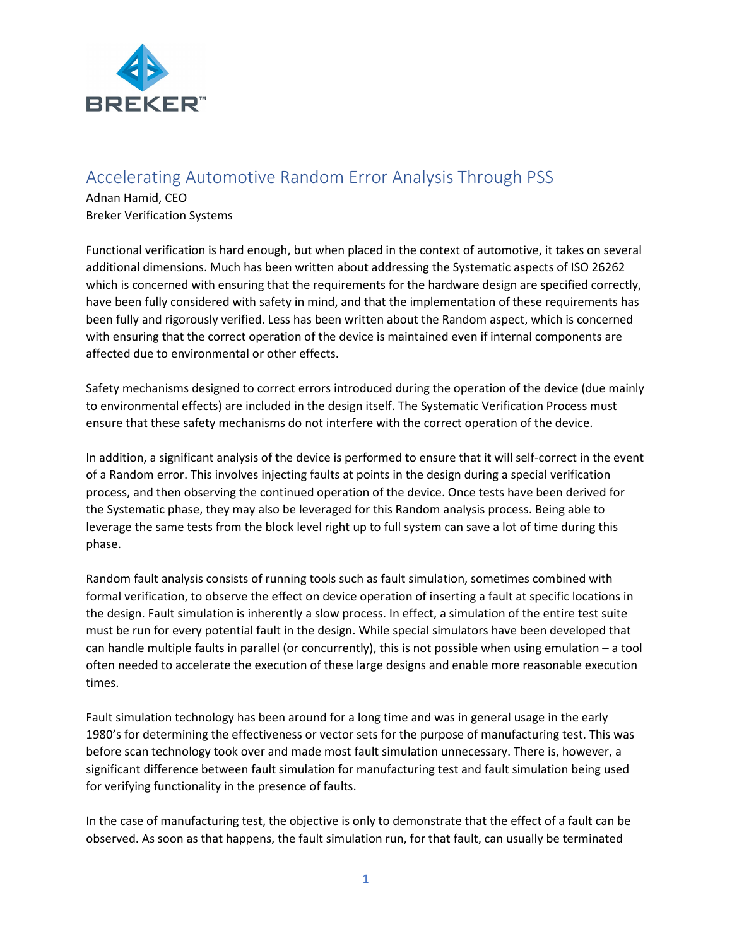

## Accelerating Automotive Random Error Analysis Through PSS

Adnan Hamid, CEO Breker Verification Systems

Functional verification is hard enough, but when placed in the context of automotive, it takes on several additional dimensions. Much has been written about addressing the Systematic aspects of ISO 26262 which is concerned with ensuring that the requirements for the hardware design are specified correctly, have been fully considered with safety in mind, and that the implementation of these requirements has been fully and rigorously verified. Less has been written about the Random aspect, which is concerned with ensuring that the correct operation of the device is maintained even if internal components are affected due to environmental or other effects.

Safety mechanisms designed to correct errors introduced during the operation of the device (due mainly to environmental effects) are included in the design itself. The Systematic Verification Process must ensure that these safety mechanisms do not interfere with the correct operation of the device.

In addition, a significant analysis of the device is performed to ensure that it will self-correct in the event of a Random error. This involves injecting faults at points in the design during a special verification process, and then observing the continued operation of the device. Once tests have been derived for the Systematic phase, they may also be leveraged for this Random analysis process. Being able to leverage the same tests from the block level right up to full system can save a lot of time during this phase.

Random fault analysis consists of running tools such as fault simulation, sometimes combined with formal verification, to observe the effect on device operation of inserting a fault at specific locations in the design. Fault simulation is inherently a slow process. In effect, a simulation of the entire test suite must be run for every potential fault in the design. While special simulators have been developed that can handle multiple faults in parallel (or concurrently), this is not possible when using emulation – a tool often needed to accelerate the execution of these large designs and enable more reasonable execution times.

Fault simulation technology has been around for a long time and was in general usage in the early 1980's for determining the effectiveness or vector sets for the purpose of manufacturing test. This was before scan technology took over and made most fault simulation unnecessary. There is, however, a significant difference between fault simulation for manufacturing test and fault simulation being used for verifying functionality in the presence of faults.

In the case of manufacturing test, the objective is only to demonstrate that the effect of a fault can be observed. As soon as that happens, the fault simulation run, for that fault, can usually be terminated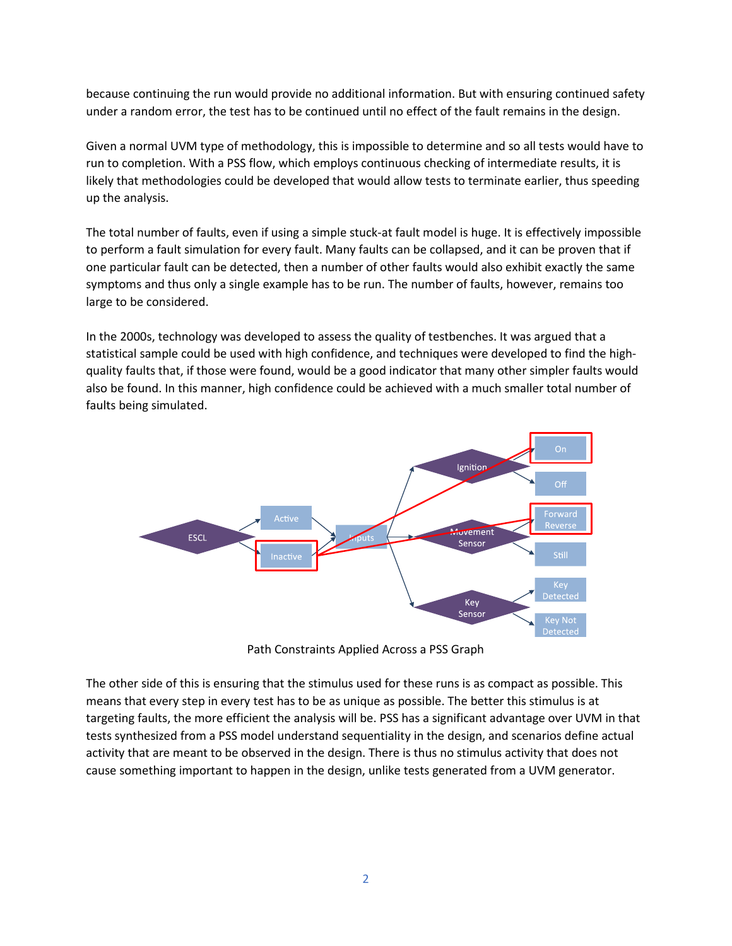because continuing the run would provide no additional information. But with ensuring continued safety under a random error, the test has to be continued until no effect of the fault remains in the design.

Given a normal UVM type of methodology, this is impossible to determine and so all tests would have to run to completion. With a PSS flow, which employs continuous checking of intermediate results, it is likely that methodologies could be developed that would allow tests to terminate earlier, thus speeding up the analysis.

The total number of faults, even if using a simple stuck-at fault model is huge. It is effectively impossible to perform a fault simulation for every fault. Many faults can be collapsed, and it can be proven that if one particular fault can be detected, then a number of other faults would also exhibit exactly the same symptoms and thus only a single example has to be run. The number of faults, however, remains too large to be considered.

In the 2000s, technology was developed to assess the quality of testbenches. It was argued that a statistical sample could be used with high confidence, and techniques were developed to find the highquality faults that, if those were found, would be a good indicator that many other simpler faults would also be found. In this manner, high confidence could be achieved with a much smaller total number of faults being simulated.



Path Constraints Applied Across a PSS Graph

The other side of this is ensuring that the stimulus used for these runs is as compact as possible. This means that every step in every test has to be as unique as possible. The better this stimulus is at targeting faults, the more efficient the analysis will be. PSS has a significant advantage over UVM in that tests synthesized from a PSS model understand sequentiality in the design, and scenarios define actual activity that are meant to be observed in the design. There is thus no stimulus activity that does not cause something important to happen in the design, unlike tests generated from a UVM generator.